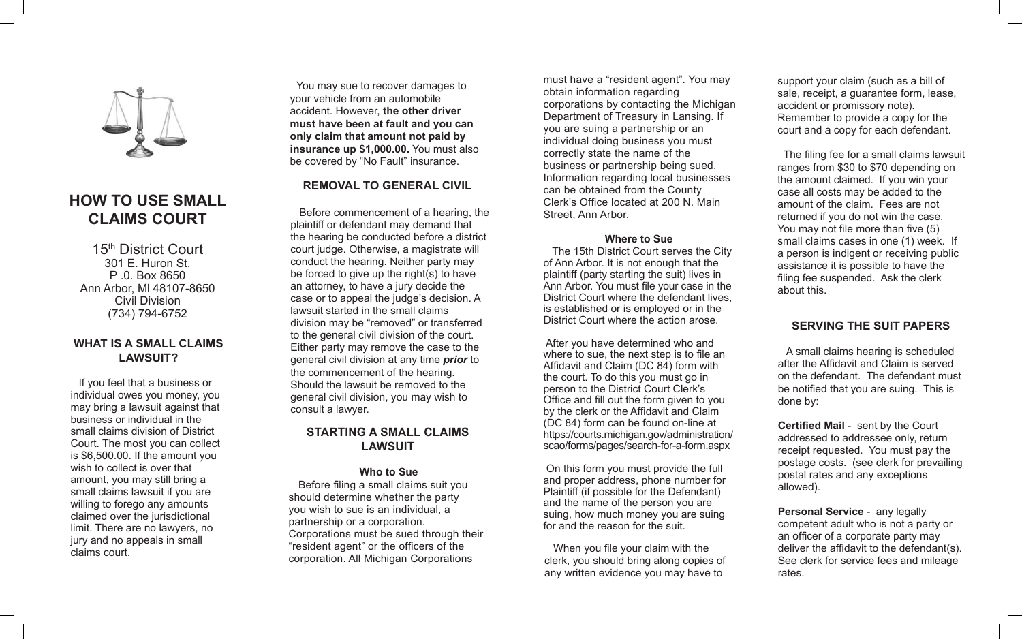

# **HOW TO USE SMALL CLAIMS COURT**

15<sup>th</sup> District Court 301 E. Huron St. P .0. Box 8650 Ann Arbor, Ml 48107-8650 Civil Division (734) 794-6752

## **WHAT IS A SMALL CLAIMS LAWSUIT?**

 If you feel that a business or individual owes you money, you may bring a lawsuit against that business or individual in the small claims division of District Court. The most you can collect is \$6,500.00. If the amount you wish to collect is over that amount, you may still bring a small claims lawsuit if you are willing to forego any amounts claimed over the jurisdictional limit. There are no lawyers, no jury and no appeals in small claims court.

 You may sue to recover damages to your vehicle from an automobile accident. However, **the other driver must have been at fault and you can only claim that amount not paid by insurance up \$1,000.00.** You must also be covered by "No Fault" insurance.

# **REMOVAL TO GENERAL CIVIL**

 Before commencement of a hearing, the plaintiff or defendant may demand that the hearing be conducted before a district court judge. Otherwise, a magistrate will conduct the hearing. Neither party may be forced to give up the right(s) to have an attorney, to have a jury decide the case or to appeal the judge's decision. A lawsuit started in the small claims division may be "removed" or transferred to the general civil division of the court. Either party may remove the case to the general civil division at any time *prior* to the commencement of the hearing. Should the lawsuit be removed to the general civil division, you may wish to consult a lawyer.

## **STARTING A SMALL CLAIMS LAWSUIT**

### **Who to Sue**

 Before filing a small claims suit you should determine whether the party you wish to sue is an individual, a partnership or a corporation. Corporations must be sued through their "resident agent" or the officers of the corporation. All Michigan Corporations

must have a "resident agent". You may obtain information regarding corporations by contacting the Michigan Department of Treasury in Lansing. If you are suing a partnership or an individual doing business you must correctly state the name of the business or partnership being sued. Information regarding local businesses can be obtained from the County Clerk's Office located at 200 N. Main Street, Ann Arbor.

#### **Where to Sue**

 The 15th District Court serves the City of Ann Arbor. It is not enough that the plaintiff (party starting the suit) lives in Ann Arbor. You must file your case in the District Court where the defendant lives, is established or is employed or in the District Court where the action arose.

 After you have determined who and where to sue, the next step is to file an Affidavit and Claim (DC 84) form with the court. To do this you must go in person to the District Court Clerk's Office and fill out the form given to you by the clerk or the Affidavit and Claim (DC 84) form can be found on-line at https://courts.michigan.gov/administration/ scao/forms/pages/search-for-a-form.aspx

 On this form you must provide the full and proper address, phone number for Plaintiff (if possible for the Defendant) and the name of the person you are suing, how much money you are suing for and the reason for the suit.

 When you file your claim with the clerk, you should bring along copies of any written evidence you may have to

support your claim (such as a bill of sale, receipt, a guarantee form, lease, accident or promissory note). Remember to provide a copy for the court and a copy for each defendant.

 The filing fee for a small claims lawsuit ranges from \$30 to \$70 depending on the amount claimed. If you win your case all costs may be added to the amount of the claim. Fees are not returned if you do not win the case. You may not file more than five (5) small claims cases in one (1) week. If a person is indigent or receiving public assistance it is possible to have the filing fee suspended. Ask the clerk about this.

# **SERVING THE SUIT PAPERS**

 A small claims hearing is scheduled after the Affidavit and Claim is served on the defendant. The defendant must be notified that you are suing. This is done by:

**Certified Mail** - sent by the Court addressed to addressee only, return receipt requested. You must pay the postage costs. (see clerk for prevailing postal rates and any exceptions allowed).

**Personal Service** - any legally competent adult who is not a party or an officer of a corporate party may deliver the affidavit to the defendant(s). See clerk for service fees and mileage rates.